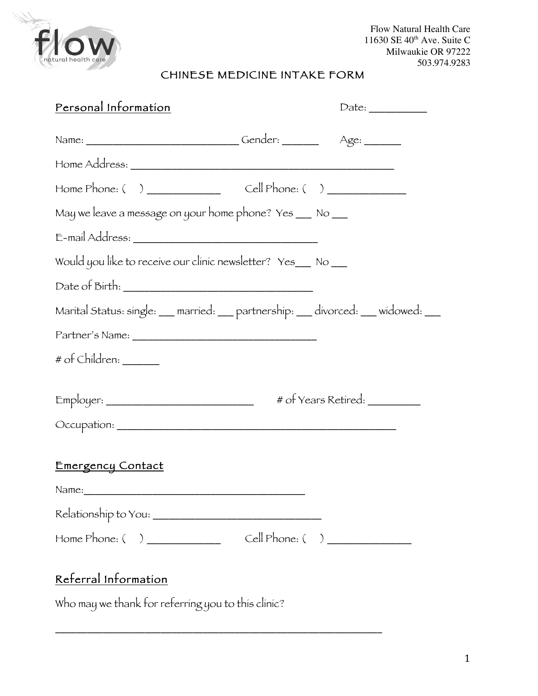

Flow Natural Health Care 11630 SE 40<sup>th</sup> Ave. Suite C Milwaukie OR 97222 503.974.9283

# CHINESE MEDICINE INTAKE FORM

| Personal Information                                                            |                   |                                |
|---------------------------------------------------------------------------------|-------------------|--------------------------------|
|                                                                                 |                   |                                |
|                                                                                 |                   |                                |
|                                                                                 |                   |                                |
| May we leave a message on your home phone? Yes __ No __                         |                   |                                |
|                                                                                 |                   |                                |
| Would you like to receive our clinic newsletter? Yes_ No __                     |                   |                                |
|                                                                                 |                   |                                |
| Marital Status: single: __ married: __ partnership: __ divorced: __ widowed: __ |                   |                                |
|                                                                                 |                   |                                |
| # of Children: ______                                                           |                   |                                |
|                                                                                 |                   | # of Years Retired: __________ |
| Emergency Contact                                                               |                   |                                |
| Name:                                                                           |                   |                                |
|                                                                                 |                   |                                |
|                                                                                 | $Cell$ Phone: ( ) |                                |
| Referral Information                                                            |                   |                                |

Who may we thank for referring you to this clinic?

\_\_\_\_\_\_\_\_\_\_\_\_\_\_\_\_\_\_\_\_\_\_\_\_\_\_\_\_\_\_\_\_\_\_\_\_\_\_\_\_\_\_\_\_\_\_\_\_\_\_\_\_\_\_\_\_\_\_\_\_\_\_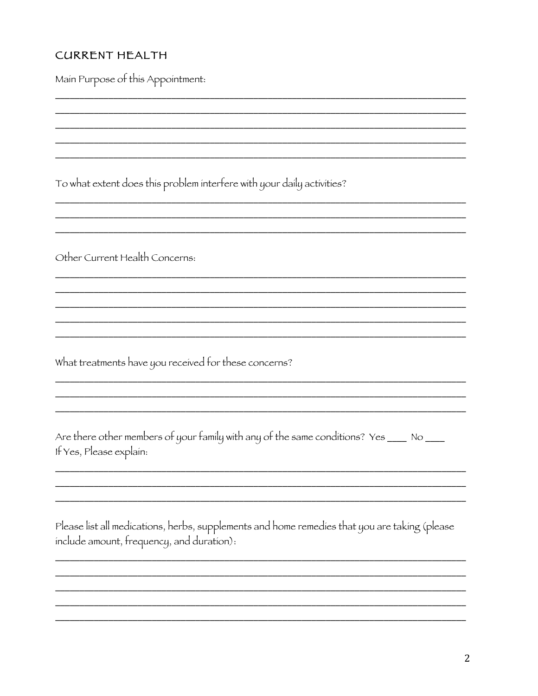# **CURRENT HEALTH**

Main Purpose of this Appointment: To what extent does this problem interfere with your daily activities? Other Current Health Concerns: What treatments have you received for these concerns? Are there other members of your family with any of the same conditions? Yes \_\_\_\_ No \_\_\_ If Yes, Please explain: Please list all medications, herbs, supplements and home remedies that you are taking (please include amount, frequency, and duration):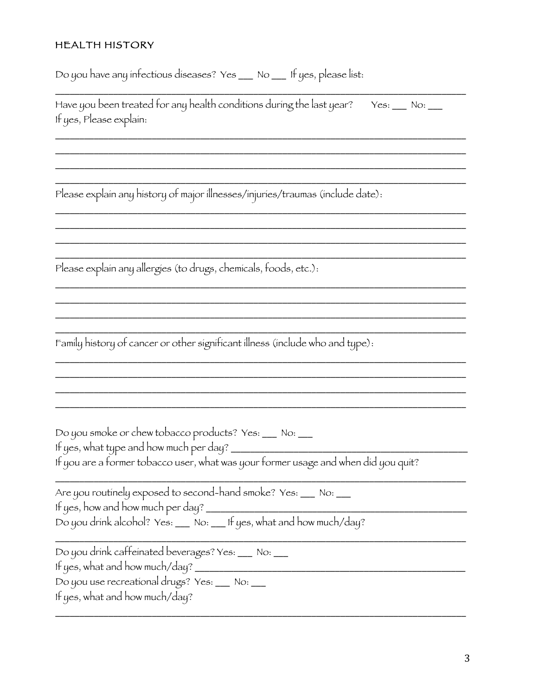## **HEALTH HISTORY**

Do you have any infectious diseases? Yes \_\_ No \_\_ If yes, please list:

| Have you been treated for any health conditions during the last year? Yes: ___ No: ___ |  |
|----------------------------------------------------------------------------------------|--|
| If yes, Please explain:                                                                |  |

<u> 1980 - Jan Stein Stein Stein Stein Stein Stein Stein Stein Stein Stein Stein Stein Stein Stein Stein Stein S</u>

Please explain any history of major illnesses/injuries/traumas (include date):

Please explain any allergies (to drugs, chemicals, foods, etc.):

Family history of cancer or other significant illness (include who and type):

Do you smoke or chew tobacco products? Yes: \_\_ No: \_\_

| Are you routinely exposed to second-hand smoke? Yes: __ No: _ |  |
|---------------------------------------------------------------|--|
| If yes, how and how much per day?                             |  |
|                                                               |  |

Do you drink alcohol? Yes: \_\_ No: \_\_ If yes, what and how much/day?

Do you drink caffeinated beverages? Yes: \_\_ No: \_\_

Do you use recreational drugs? Yes: \_\_ No: \_\_

If yes, what and how much/day?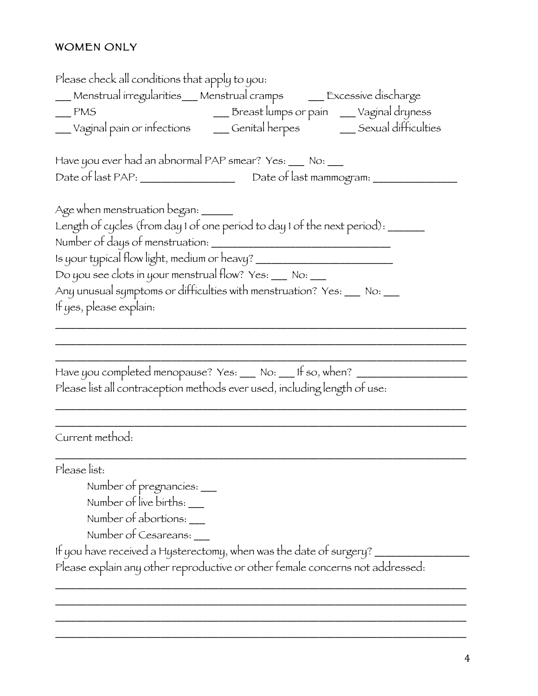# WOMEN ONLY

| Please check all conditions that apply to you:                                                                                                                                                                                                           |  |
|----------------------------------------------------------------------------------------------------------------------------------------------------------------------------------------------------------------------------------------------------------|--|
| ___ Menstrual irregularities___ Menstrual cramps   ___ Excessive discharge                                                                                                                                                                               |  |
|                                                                                                                                                                                                                                                          |  |
| PMS<br>Vaginal pain or infections<br>Cenital herpes<br>Cenital herpes<br>Cenital herpes<br>Cenital herpes<br>Cenital herpes<br>Cenital herpes<br>Cenital herpes<br>Cenital herpes<br>Cenital herpes<br>Cenital herpes<br>Cenital herpes<br>Cenital herpe |  |
| Have you ever had an abnormal PAP smear? Yes: ___ No: __                                                                                                                                                                                                 |  |
| Date of last PAP: _______________________ Date of last mammogram: ________                                                                                                                                                                               |  |
| Age when menstruation began: ______                                                                                                                                                                                                                      |  |
| Length of cycles (from day 1 of one period to day 1 of the next period): ______                                                                                                                                                                          |  |
| Is your typical flow light, medium or heavy? ___________________________________                                                                                                                                                                         |  |
| Do you see clots in your menstrual flow? Yes: ___ No: ___                                                                                                                                                                                                |  |
| Any unusual symptoms or difficulties with menstruation? Yes: ___ No: ___                                                                                                                                                                                 |  |
| If yes, please explain:                                                                                                                                                                                                                                  |  |
| Have you completed menopause? Yes: ___ No: ___ If so, when? ______<br>Please list all contraception methods ever used, including length of use:                                                                                                          |  |
| Current method:                                                                                                                                                                                                                                          |  |
| Please list:                                                                                                                                                                                                                                             |  |
| Number of pregnancies: __                                                                                                                                                                                                                                |  |
| Number of live births: __                                                                                                                                                                                                                                |  |
| Number of abortions: ___                                                                                                                                                                                                                                 |  |
| Number of Cesareans: ___                                                                                                                                                                                                                                 |  |
| If you have received a Hysterectomy, when was the date of surgery?                                                                                                                                                                                       |  |
| Please explain any other reproductive or other female concerns not addressed:                                                                                                                                                                            |  |
|                                                                                                                                                                                                                                                          |  |
|                                                                                                                                                                                                                                                          |  |

\_\_\_\_\_\_\_\_\_\_\_\_\_\_\_\_\_\_\_\_\_\_\_\_\_\_\_\_\_\_\_\_\_\_\_\_\_\_\_\_\_\_\_\_\_\_\_\_\_\_\_\_\_\_\_\_\_\_\_\_\_\_\_\_\_\_\_\_\_\_\_\_\_\_\_\_\_\_ \_\_\_\_\_\_\_\_\_\_\_\_\_\_\_\_\_\_\_\_\_\_\_\_\_\_\_\_\_\_\_\_\_\_\_\_\_\_\_\_\_\_\_\_\_\_\_\_\_\_\_\_\_\_\_\_\_\_\_\_\_\_\_\_\_\_\_\_\_\_\_\_\_\_\_\_\_\_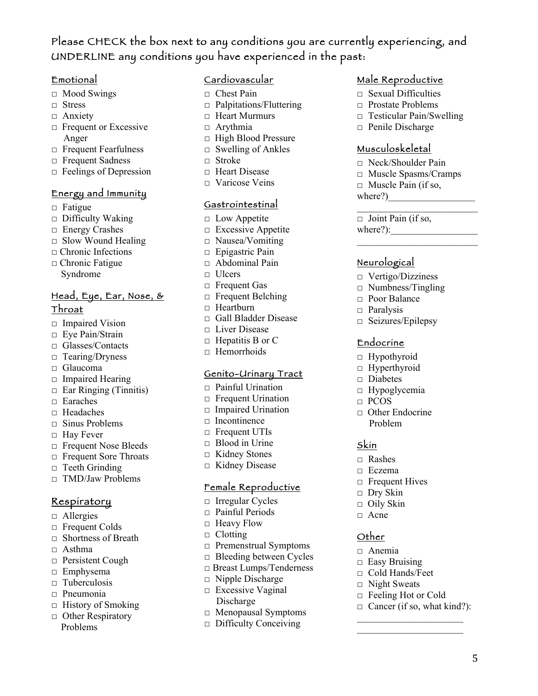# Please CHECK the box next to any conditions you are currently experiencing, and UNDERLINE any conditions you have experienced in the past:

#### Emotional

- $\Box$  Mood Swings
- $\Box$  Stress
- $\Box$  Anxiety
- $\Box$  Frequent or Excessive Anger
- □ Frequent Fearfulness
- **Exercise Sadness**
- $\Box$  Feelings of Depression

### Energy and Immunity

- $\Box$  Fatigue
- $\Box$  Difficulty Waking
- $\Box$  Energy Crashes
- $\Box$  Slow Wound Healing
- $\Box$  Chronic Infections
- $\Box$  Chronic Fatigue Syndrome

## Head, Eye, Ear, Nose, & Throat

- $\Box$  Impaired Vision
- $\Box$  Eye Pain/Strain
- □ Glasses/Contacts
- $\Box$  Tearing/Dryness
- $\Box$  Glaucoma
- $\Box$  Impaired Hearing
- $\Box$  Ear Ringing (Tinnitis)
- $\Box$  Earaches
- $\Box$  Headaches
- $\Box$  Sinus Problems
- $\Box$  Hay Fever
- $\Box$  Frequent Nose Bleeds
- □ Frequent Sore Throats
- $\Box$  Teeth Grinding
- $\Box$  TMD/Jaw Problems

### Respiratory

- $\Box$  Allergies
- $\Box$  Frequent Colds
- $\Box$  Shortness of Breath
- $\Box$  Asthma
- $\Box$  Persistent Cough
- $\Box$  Emphysema
- $\Box$  Tuberculosis
- $\Box$  Pneumonia
- $\Box$  History of Smoking
- $\Box$  Other Respiratory Problems

### Cardiovascular

- $\Box$  Chest Pain
- $\Box$  Palpitations/Fluttering
- $\Box$  Heart Murmurs
- $\Box$  Arythmia
- $\Box$  High Blood Pressure
- $\Box$  Swelling of Ankles
- $\Box$  Stroke
- □ Heart Disease
- $\Box$  Varicose Veins

#### Gastrointestinal

- $\Box$  Low Appetite
- $\Box$  Excessive Appetite
- $\Box$  Nausea/Vomiting
- $\Box$  Epigastric Pain
- $\Box$  Abdominal Pain
- $\Box$  Ulcers
- □ Frequent Gas
- $\Box$  Frequent Belching
- $\Box$  Heartburn
- □ Gall Bladder Disease
- $\Box$  Liver Disease
- $\Box$  Hepatitis B or C
- $\Box$  Hemorrhoids

#### Genito-Urinary Tract

- $\Box$  Painful Urination
- $\Box$  Frequent Urination
- $\Box$  Impaired Urination
- $\Box$  Incontinence
- □ Frequent UTIs
- $\Box$  Blood in Urine
- $\Box$  Kidney Stones
- $\Box$  Kidney Disease

### Female Reproductive

- $\Box$  Irregular Cycles
- $\Box$  Painful Periods
- $\Box$  Heavy Flow
- $\Box$  Clotting
- $\Box$  Premenstrual Symptoms
- $\Box$  Bleeding between Cycles
- □ Breast Lumps/Tenderness
- $\Box$  Nipple Discharge
- $\Box$  Excessive Vaginal Discharge
- □ Menopausal Symptoms
- $\Box$  Difficulty Conceiving

## Male Reproductive

- $\Box$  Sexual Difficulties
- $\Box$  Prostate Problems
- $\Box$  Testicular Pain/Swelling
- $\Box$  Penile Discharge

#### Musculoskeletal

- □ Neck/Shoulder Pain
- □ Muscle Spasms/Cramps

 $\mathcal{L}_\text{max}$  , where  $\mathcal{L}_\text{max}$  is the set of the set of the set of the set of the set of the set of the set of the set of the set of the set of the set of the set of the set of the set of the set of the set of the se

 $\mathcal{L}_\text{max}$ 

&

- $\Box$  Muscle Pain (if so,
- where?)

 $\Box$  Joint Pain (if so, where?):

 $\Box$  Vertigo/Dizziness  $\Box$  Numbness/Tingling  $\Box$  Poor Balance  $\Box$  Paralysis

□ Seizures/Epilepsy

 $\Box$  Other Endocrine Problem

 $\Box$  Frequent Hives  $\Box$  Dry Skin  $\Box$  Oily Skin  $\Box$  Acne

 $\mathcal{L}_\text{max}$ 

Endocrine  $\Box$  Hypothyroid  $\Box$  Hyperthyroid □ Diabetes  $\Box$  Hypoglycemia

 $\Box$  PCOS

Skin  $\Box$  Rashes  $\Box$  Eczema

Other  $\Box$  Anemia  $\Box$  Easy Bruising □ Cold Hands/Feet  $\Box$  Night Sweats  $\Box$  Feeling Hot or Cold  $\Box$  Cancer (if so, what kind?):

## **Neurological**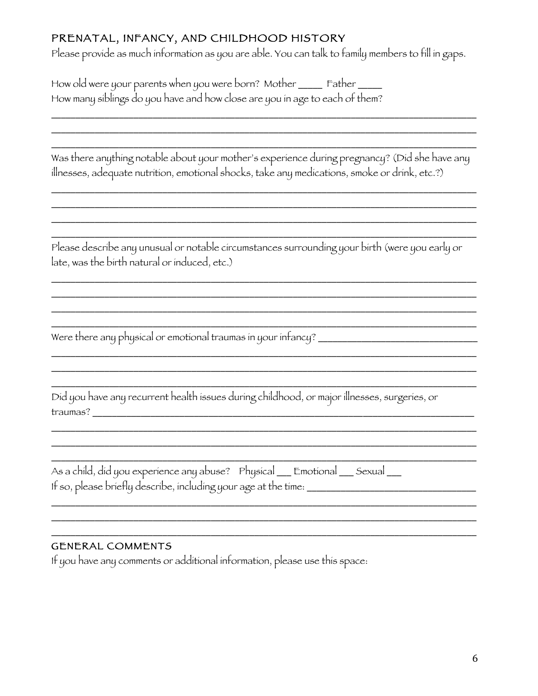# PRENATAL, INFANCY, AND CHILDHOOD HISTORY

Please provide as much information as you are able. You can talk to family members to fill in gaps.

| How old were your parents when you were born? Mother ______ Father ___<br>How many siblings do you have and how close are you in age to each of them?                                          |  |  |
|------------------------------------------------------------------------------------------------------------------------------------------------------------------------------------------------|--|--|
|                                                                                                                                                                                                |  |  |
| Was there anything notable about your mother's experience during pregnancy? (Did she have any<br>illnesses, adequate nutrition, emotional shocks, take any medications, smoke or drink, etc.?) |  |  |
|                                                                                                                                                                                                |  |  |
| Please describe any unusual or notable circumstances surrounding your birth (were you early or<br>late, was the birth natural or induced, etc.)                                                |  |  |
|                                                                                                                                                                                                |  |  |
|                                                                                                                                                                                                |  |  |
| Were there any physical or emotional traumas in your infancy?                                                                                                                                  |  |  |
|                                                                                                                                                                                                |  |  |
|                                                                                                                                                                                                |  |  |
| Did you have any recurrent health issues during childhood, or major illnesses, surgeries, or<br>traumas?                                                                                       |  |  |
|                                                                                                                                                                                                |  |  |
|                                                                                                                                                                                                |  |  |
| As a child, did you experience any abuse? Physical __ Emotional __ Sexual __<br>If so, please briefly describe, including your age at the time: ________________________                       |  |  |
|                                                                                                                                                                                                |  |  |
|                                                                                                                                                                                                |  |  |
|                                                                                                                                                                                                |  |  |

# GENERAL COMMENTS

If you have any comments or additional information, please use this space: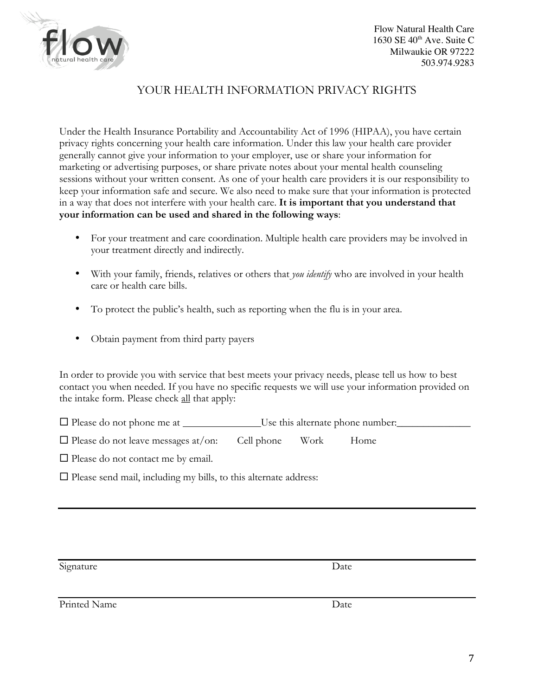

## YOUR HEALTH INFORMATION PRIVACY RIGHTS

Under the Health Insurance Portability and Accountability Act of 1996 (HIPAA), you have certain privacy rights concerning your health care information. Under this law your health care provider generally cannot give your information to your employer, use or share your information for marketing or advertising purposes, or share private notes about your mental health counseling sessions without your written consent. As one of your health care providers it is our responsibility to keep your information safe and secure. We also need to make sure that your information is protected in a way that does not interfere with your health care. **It is important that you understand that your information can be used and shared in the following ways**:

- For your treatment and care coordination. Multiple health care providers may be involved in your treatment directly and indirectly.
- With your family, friends, relatives or others that *you identify* who are involved in your health care or health care bills.
- To protect the public's health, such as reporting when the flu is in your area.
- Obtain payment from third party payers

In order to provide you with service that best meets your privacy needs, please tell us how to best contact you when needed. If you have no specific requests we will use your information provided on the intake form. Please check all that apply:

| $\Box$ Please do not phone me at | Use this alternate phone number: |
|----------------------------------|----------------------------------|
|----------------------------------|----------------------------------|

| $\Box$ Please do not leave messages at/on: | Cell phone | Work | Home |
|--------------------------------------------|------------|------|------|
|--------------------------------------------|------------|------|------|

 $\Box$  Please do not contact me by email.

 $\Box$  Please send mail, including my bills, to this alternate address:

Signature Date

Printed Name Date